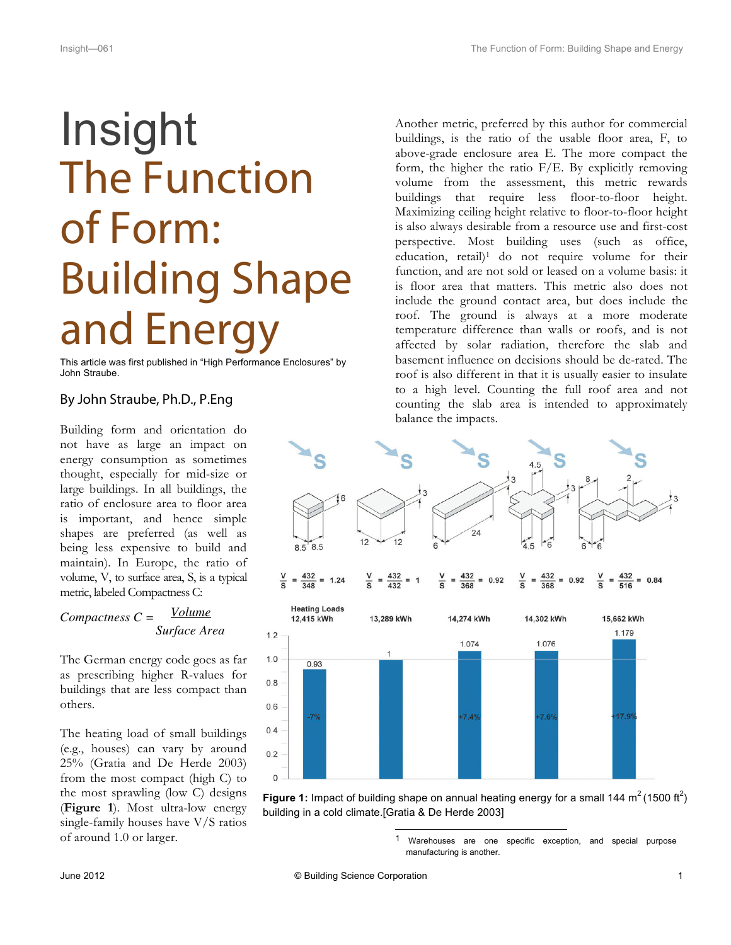## Insight The Function of Form: Building Shape and Energy

This article was first published in "High Performance Enclosures" by John Straube.

## By John Straube, Ph.D., P.Eng

Building form and orientation do not have as large an impact on energy consumption as sometimes thought, especially for mid-size or large buildings. In all buildings, the ratio of enclosure area to floor area is important, and hence simple shapes are preferred (as well as being less expensive to build and maintain). In Europe, the ratio of volume, V, to surface area, S, is a typical metric, labeled Compactness C:

## *Compactness C = Volume Surface Area*

The German energy code goes as far as prescribing higher R-values for buildings that are less compact than others.

The heating load of small buildings (e.g., houses) can vary by around 25% (Gratia and De Herde 2003) from the most compact (high C) to the most sprawling (low C) designs (**Figure 1**). Most ultra-low energy single-family houses have V/S ratios of around 1.0 or larger.

Another metric, preferred by this author for commercial buildings, is the ratio of the usable floor area, F, to above-grade enclosure area E. The more compact the form, the higher the ratio  $F/E$ . By explicitly removing volume from the assessment, this metric rewards buildings that require less floor-to-floor height. Maximizing ceiling height relative to floor-to-floor height is also always desirable from a resource use and first-cost perspective. Most building uses (such as office, education, retail)<sup>1</sup> do not require volume for their function, and are not sold or leased on a volume basis: it is floor area that matters. This metric also does not include the ground contact area, but does include the roof. The ground is always at a more moderate temperature difference than walls or roofs, and is not affected by solar radiation, therefore the slab and basement influence on decisions should be de-rated. The roof is also different in that it is usually easier to insulate to a high level. Counting the full roof area and not counting the slab area is intended to approximately balance the impacts.



Figure 1: Impact of building shape on annual heating energy for a small 144 m<sup>2</sup> (1500 ft<sup>2</sup>) building in a cold climate.[Gratia & De Herde 2003]

> Warehouses are one specific exception, and special purpose manufacturing is another.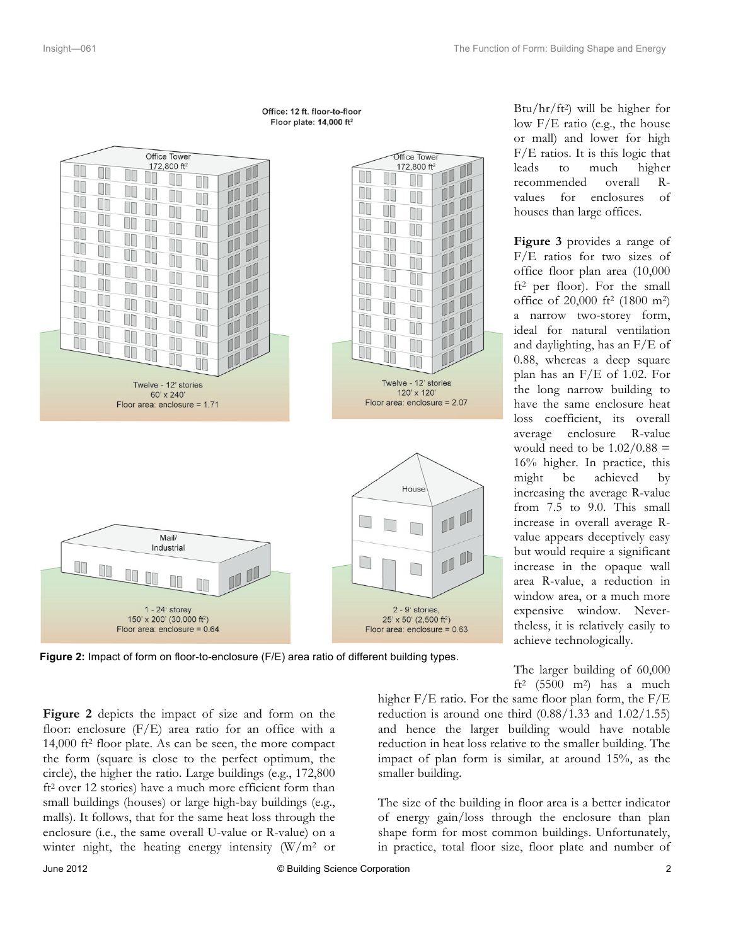



**Figure 2:** Impact of form on floor-to-enclosure (F/E) area ratio of different building types.

 $Btu/hr/ft^2$ ) will be higher for low F/E ratio (e.g., the house or mall) and lower for high F/E ratios. It is this logic that leads to much higher recommended overall Rvalues for enclosures of houses than large offices.

**Figure 3** provides a range of F/E ratios for two sizes of office floor plan area (10,000 ft2 per floor). For the small office of 20,000 ft2 (1800 m2) a narrow two-storey form, ideal for natural ventilation and daylighting, has an F/E of 0.88, whereas a deep square plan has an F/E of 1.02. For the long narrow building to have the same enclosure heat loss coefficient, its overall average enclosure R-value would need to be  $1.02/0.88 =$ 16% higher. In practice, this might be achieved by increasing the average R-value from 7.5 to 9.0. This small increase in overall average Rvalue appears deceptively easy but would require a significant increase in the opaque wall area R-value, a reduction in window area, or a much more expensive window. Nevertheless, it is relatively easily to achieve technologically.

The larger building of 60,000 ft<sup>2</sup> (5500 m<sup>2</sup>) has a much

higher F/E ratio. For the same floor plan form, the F/E reduction is around one third  $(0.88/1.33$  and  $1.02/1.55)$ and hence the larger building would have notable reduction in heat loss relative to the smaller building. The impact of plan form is similar, at around 15%, as the

The size of the building in floor area is a better indicator of energy gain/loss through the enclosure than plan shape form for most common buildings. Unfortunately, in practice, total floor size, floor plate and number of

**Figure 2** depicts the impact of size and form on the floor: enclosure (F/E) area ratio for an office with a 14,000 ft2 floor plate. As can be seen, the more compact the form (square is close to the perfect optimum, the circle), the higher the ratio. Large buildings (e.g., 172,800 ft2 over 12 stories) have a much more efficient form than small buildings (houses) or large high-bay buildings (e.g., malls). It follows, that for the same heat loss through the enclosure (i.e., the same overall U-value or R-value) on a winter night, the heating energy intensity  $(W/m^2$  or

smaller building.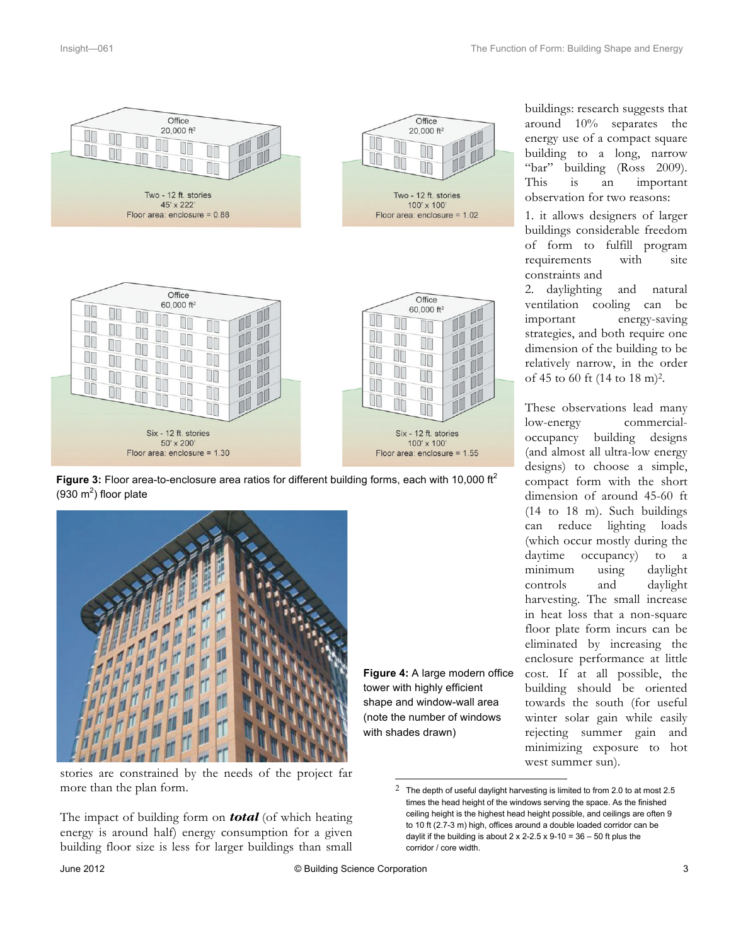



**Figure 3:** Floor area-to-enclosure area ratios for different building forms, each with 10,000 ft<sup>2</sup> (930  $m<sup>2</sup>$ ) floor plate



stories are constrained by the needs of the project far more than the plan form.

The impact of building form on *total* (of which heating energy is around half) energy consumption for a given building floor size is less for larger buildings than small

**Figure 4:** A large modern office tower with highly efficient shape and window-wall area (note the number of windows with shades drawn)

Office

 $20.000$  ft<sup>2</sup>

Two - 12 ft. stories

100' x 100'

Floor area: enclosure = 1.02

T

T

buildings: research suggests that around 10% separates the energy use of a compact square building to a long, narrow "bar" building (Ross 2009). This is an important observation for two reasons:

1. it allows designers of larger buildings considerable freedom of form to fulfill program requirements with site constraints and

2. daylighting and natural ventilation cooling can be important energy-saving strategies, and both require one dimension of the building to be relatively narrow, in the order of 45 to 60 ft (14 to 18 m)2.

These observations lead many low-energy commercialoccupancy building designs (and almost all ultra-low energy designs) to choose a simple, compact form with the short dimension of around 45-60 ft (14 to 18 m). Such buildings can reduce lighting loads (which occur mostly during the daytime occupancy) to a minimum using daylight controls and daylight harvesting. The small increase in heat loss that a non-square floor plate form incurs can be eliminated by increasing the enclosure performance at little cost. If at all possible, the building should be oriented towards the south (for useful winter solar gain while easily rejecting summer gain and minimizing exposure to hot west summer sun).

 $2$  The depth of useful daylight harvesting is limited to from 2.0 to at most 2.5 times the head height of the windows serving the space. As the finished ceiling height is the highest head height possible, and ceilings are often 9 to 10 ft (2.7-3 m) high, offices around a double loaded corridor can be daylit if the building is about  $2 \times 2$ -2.5  $\times$  9-10 = 36 – 50 ft plus the corridor / core width.